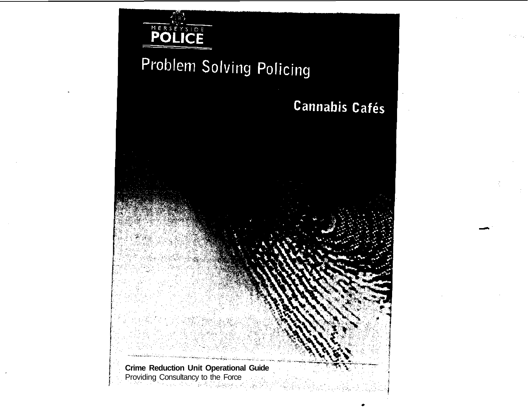

# Problem Solving Policing

**Cannabis Cafés** 

**Crime Reduction Unit Operational Guide Providing Consultancy to the Force**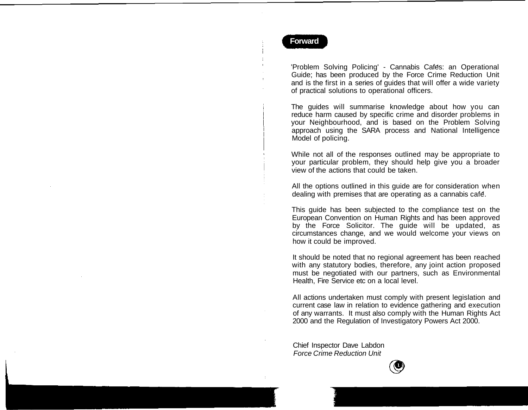## **Forward**

'Problem Solving Policing' - Cannabis Cafes: an Operational Guide; has been produced by the Force Crime Reduction Unit and is the first in a series of guides that will offer a wide variety of practical solutions to operational officers.

The guides will summarise knowledge about how you can reduce harm caused by specific crime and disorder problems in your Neighbourhood, and is based on the Problem Solving approach using the SARA process and National Intelligence Model of policing.

While not all of the responses outlined may be appropriate to your particular problem, they should help give you a broader view of the actions that could be taken.

All the options outlined in this guide are for consideration when dealing with premises that are operating as a cannabis cafe.

This guide has been subjected to the compliance test on the European Convention on Human Rights and has been approved by the Force Solicitor. The guide will be updated, as circumstances change, and we would welcome your views on how it could be improved.

It should be noted that no regional agreement has been reached with any statutory bodies, therefore, any joint action proposed must be negotiated with our partners, such as Environmental Health, Fire Service etc on a local level.

All actions undertaken must comply with present legislation and current case law in relation to evidence gathering and execution of any warrants. It must also comply with the Human Rights Act 2000 and the Regulation of Investigatory Powers Act 2000.

Chief Inspector Dave Labdon Force Crime Reduction Unit

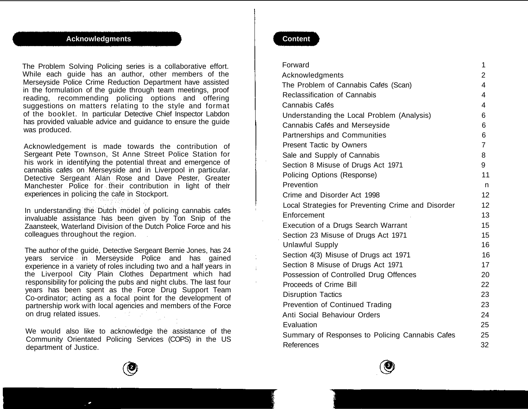# **Acknowledgments**

The Problem Solving Policing series is a collaborative effort. While each guide has an author, other members of the Merseyside Police Crime Reduction Department have assisted in the formulation of the guide through team meetings, proof reading, recommending policing options and offering suggestions on matters relating to the style and format of the booklet. In particular Detective Chief Inspector Labdon has provided valuable advice and guidance to ensure the guide was produced.

Acknowledgement is made towards the contribution of Sergeant Pete Townson, St Anne Street Police Station for his work in identifying the potential threat and emergence of cannabis cafes on Merseyside and in Liverpool in particular. Detective Sergeant Alan Rose and Dave Pester, Greater Manchester Police for their contribution in light of their experiences in policing the cafe in Stockport.

In understanding the Dutch model of policing cannabis cafes invaluable assistance has been given by Ton Snip of the Zaansteek, Waterland Division of the Dutch Police Force and his colleagues throughout the region.

The author of the guide, Detective Sergeant Bernie Jones, has 24 years service in Merseyside Police and has gained experience in a variety of roles including two and a half years in the Liverpool City Plain Clothes Department which had responsibility for policing the pubs and night clubs. The last four years has been spent as the Force Drug Support Team Co-ordinator; acting as a focal point for the development of partnership work with local agencies and members of the Force on drug related issues.

We would also like to acknowledge the assistance of the Community Orientated Policing Services (COPS) in the US department of Justice.

## **Content**

| Forward |                                                    | 1              |
|---------|----------------------------------------------------|----------------|
|         | Acknowledgments                                    | 2              |
|         | The Problem of Cannabis Cafes (Scan)               | $\overline{4}$ |
|         | <b>Reclassification of Cannabis</b>                | 4              |
|         | Cannabis Cafés                                     | 4              |
|         | Understanding the Local Problem (Analysis)         | 6              |
|         | Cannabis Cafés and Merseyside                      | 6              |
|         | Partnerships and Communities                       | 6              |
|         | Present Tactic by Owners                           | $\overline{7}$ |
|         | Sale and Supply of Cannabis                        | 8              |
|         | Section 8 Misuse of Drugs Act 1971                 | 9              |
|         | Policing Options (Response)                        | 11             |
|         | Prevention                                         | n              |
|         | Crime and Disorder Act 1998                        | 12             |
|         | Local Strategies for Preventing Crime and Disorder | 12             |
|         | Enforcement                                        | 13             |
|         | Execution of a Drugs Search Warrant                | 15             |
|         | Section 23 Misuse of Drugs Act 1971                | 15             |
|         | <b>Unlawful Supply</b>                             | 16             |
|         | Section 4(3) Misuse of Drugs act 1971              | 16             |
|         | Section 8 Misuse of Drugs Act 1971                 | 17             |
|         | Possession of Controlled Drug Offences             | 20             |
|         | Proceeds of Crime Bill                             | 22             |
|         | <b>Disruption Tactics</b>                          | 23             |
|         | Prevention of Continued Trading                    | 23             |
|         | Anti Social Behaviour Orders                       | 24             |
|         | Evaluation                                         | 25             |
|         | Summary of Responses to Policing Cannabis Cafes    | 25             |
|         | References                                         | 32             |



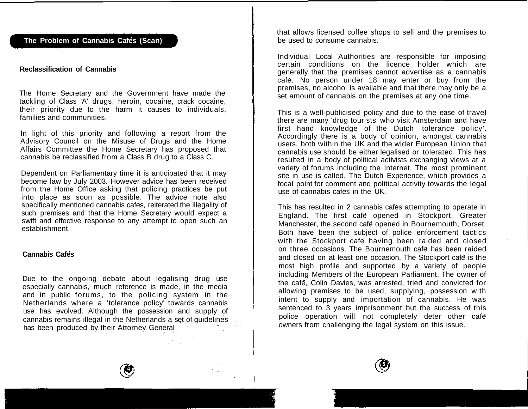# **The Problem of Cannabis Cafes (Scan)**

#### **Reclassification of Cannabis**

The Home Secretary and the Government have made the tackling of Class 'A' drugs, heroin, cocaine, crack cocaine, their priority due to the harm it causes to individuals, families and communities.

In light of this priority and following a report from the Advisory Council on the Misuse of Drugs and the Home Affairs Committee the Home Secretary has proposed that cannabis be reclassified from a Class B drug to a Class C.

Dependent on Parliamentary time it is anticipated that it may become law by July 2003. However advice has been received from the Home Office asking that policing practices be put into place as soon as possible. The advice note also specifically mentioned cannabis cafes, reiterated the illegality of such premises and that the Home Secretary would expect a swift and effective response to any attempt to open such an establishment.

#### **Cannabis Cafes**

Due to the ongoing debate about legalising drug use especially cannabis, much reference is made, in the media and in public forums, to the policing system in the Netherlands where a 'tolerance policy' towards cannabis use has evolved. Although the possession and supply of cannabis remains illegal in the Netherlands a set of guidelines has been produced by their Attorney General

that allows licensed coffee shops to sell and the premises to be used to consume cannabis.

Individual Local Authorities are responsible for imposing certain conditions on the licence holder which are generally that the premises cannot advertise as a cannabis cafe. No person under 18 may enter or buy from the premises, no alcohol is available and that there may only be a set amount of cannabis on the premises at any one time.

This is a well-publicised policy and due to the ease of travel there are many 'drug tourists' who visit Amsterdam and have first hand knowledge of the Dutch 'tolerance policy'. Accordingly there is a body of opinion, amongst cannabis users, both within the UK and the wider European Union that cannabis use should be either legalised or tolerated. This has resulted in a body of political activists exchanging views at a variety of forums including the Internet. The most prominent site in use is called. The Dutch Experience, which provides a focal point for comment and political activity towards the legal use of cannabis cafes in the UK.

This has resulted in 2 cannabis cafés attempting to operate in England. The first cafe opened in Stockport, Greater Manchester, the second cafe opened in Bournemouth, Dorset. Both have been the subject of police enforcement tactics with the Stockport cafe having been raided and closed on three occasions. The Bournemouth cafe has been raided and closed on at least one occasion. The Stockport cafe is the most high profile and supported by a variety of people including Members of the European Parliament. The owner of the cafe, Colin Davies, was arrested, tried and convicted for allowing premises to be used, supplying, possession with intent to supply and importation of cannabis. He was sentenced to 3 years imprisonment but the success of this police operation will not completely deter other cafe owners from challenging the legal system on this issue.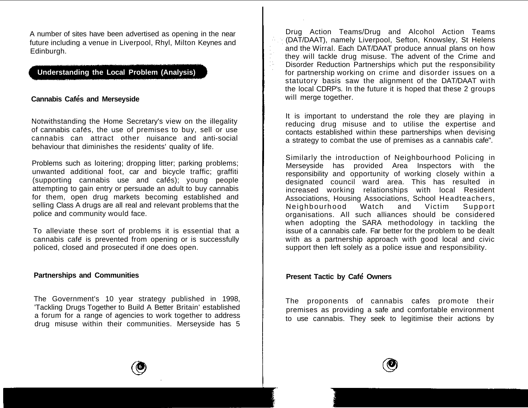A number of sites have been advertised as opening in the near future including a venue in Liverpool, Rhyl, Milton Keynes and Edinburgh.

# **Understanding the Local Problem (Analysis)**

# **Cannabis Cafes and Merseyside**

Notwithstanding the Home Secretary's view on the illegality of cannabis cafes, the use of premises to buy, sell or use cannabis can attract other nuisance and anti-social behaviour that diminishes the residents' quality of life.

Problems such as loitering; dropping litter; parking problems; unwanted additional foot, car and bicycle traffic; graffiti (supporting cannabis use and cafés); young people attempting to gain entry or persuade an adult to buy cannabis for them, open drug markets becoming established and selling Class A drugs are all real and relevant problems that the police and community would face.

To alleviate these sort of problems it is essential that a cannabis cafe is prevented from opening or is successfully policed, closed and prosecuted if one does open.

## **Partnerships and Communities**

The Government's 10 year strategy published in 1998, 'Tackling Drugs Together to Build A Better Britain' established a forum for a range of agencies to work together to address drug misuse within their communities. Merseyside has 5

Drug Action Teams/Drug and Alcohol Action Teams (DAT/DAAT), namely Liverpool, Sefton, Knowsley, St Helens and the Wirral. Each DAT/DAAT produce annual plans on how they will tackle drug misuse. The advent of the Crime and Disorder Reduction Partnerships which put the responsibility for partnership working on crime and disorder issues on a statutory basis saw the alignment of the DAT/DAAT with the local CDRP's. In the future it is hoped that these 2 groups will merge together.

It is important to understand the role they are playing in reducing drug misuse and to utilise the expertise and contacts established within these partnerships when devising a strategy to combat the use of premises as a cannabis cafe".

Similarly the introduction of Neighbourhood Policing in Merseyside has provided Area Inspectors with the responsibility and opportunity of working closely within a designated council ward area. This has resulted in increased working relationships with local Resident Associations, Housing Associations, School Headteachers, Neighbourhood Watch and Victim Support organisations. All such alliances should be considered when adopting the SARA methodology in tackling the issue of a cannabis cafe. Far better for the problem to be dealt with as a partnership approach with good local and civic support then left solely as a police issue and responsibility.

## **Present Tactic by Café Owners**

The proponents of cannabis cafes promote their premises as providing a safe and comfortable environment to use cannabis. They seek to legitimise their actions by

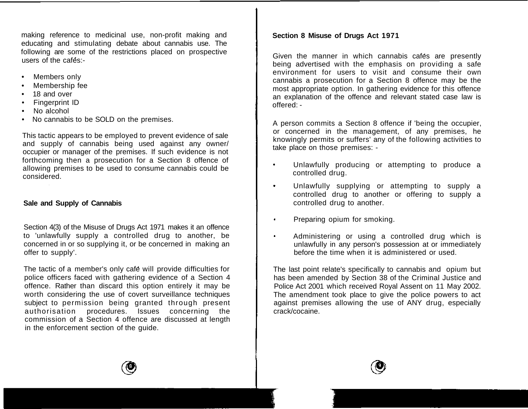making reference to medicinal use, non-profit making and educating and stimulating debate about cannabis use. The following are some of the restrictions placed on prospective users of the cafes:-

- Members only
- Membership fee
- 18 and over
- Fingerprint ID
- No alcohol
- No cannabis to be SOLD on the premises.

This tactic appears to be employed to prevent evidence of sale and supply of cannabis being used against any owner/ occupier or manager of the premises. If such evidence is not forthcoming then a prosecution for a Section 8 offence of allowing premises to be used to consume cannabis could be considered.

# **Sale and Supply of Cannabis**

Section 4(3) of the Misuse of Drugs Act 1971 makes it an offence to 'unlawfully supply a controlled drug to another, be concerned in or so supplying it, or be concerned in making an offer to supply'.

The tactic of a member's only café will provide difficulties for police officers faced with gathering evidence of a Section 4 offence. Rather than discard this option entirely it may be worth considering the use of covert surveillance techniques subject to permission being granted through present authorisation procedures. Issues concerning the commission of a Section 4 offence are discussed at length in the enforcement section of the guide.

# **Section 8 Misuse of Drugs Act 1971**

Given the manner in which cannabis cafes are presently being advertised with the emphasis on providing a safe environment for users to visit and consume their own cannabis a prosecution for a Section 8 offence may be the most appropriate option. In gathering evidence for this offence an explanation of the offence and relevant stated case law is offered: -

A person commits a Section 8 offence if 'being the occupier, or concerned in the management, of any premises, he knowingly permits or suffers' any of the following activities to take place on those premises: -

- Unlawfully producing or attempting to produce a controlled drug.
- Unlawfully supplying or attempting to supply a  $\bullet$ controlled drug to another or offering to supply a controlled drug to another.
- Preparing opium for smoking.
- Administering or using a controlled drug which is unlawfully in any person's possession at or immediately before the time when it is administered or used.

The last point relate's specifically to cannabis and opium but has been amended by Section 38 of the Criminal Justice and Police Act 2001 which received Royal Assent on 11 May 2002. The amendment took place to give the police powers to act against premises allowing the use of ANY drug, especially crack/cocaine.

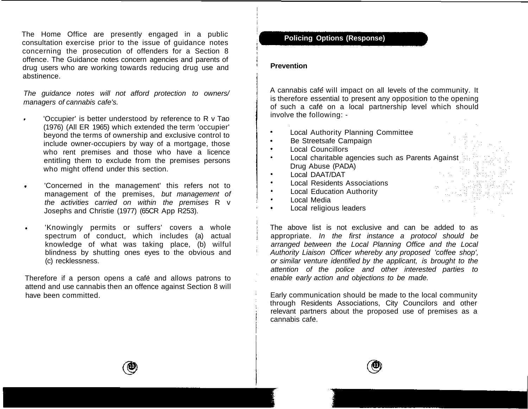The Home Office are presently engaged in a public consultation exercise prior to the issue of guidance notes concerning the prosecution of offenders for a Section 8 offence. The Guidance notes concern agencies and parents of drug users who are working towards reducing drug use and abstinence.

The guidance notes will not afford protection to owners/ managers of cannabis cafe's.

- 'Occupier' is better understood by reference to R v Tao (1976) (All ER 1965) which extended the term 'occupier' beyond the terms of ownership and exclusive control to include owner-occupiers by way of a mortgage, those who rent premises and those who have a licence entitling them to exclude from the premises persons who might offend under this section.
- 'Concerned in the management' this refers not to  $\bullet$ management of the premises, but management of the activities carried on within the premises R v Josephs and Christie (1977) (65CR App R253).
- 'Knowingly permits or suffers' covers a whole  $\bullet$ spectrum of conduct, which includes (a) actual knowledge of what was taking place, (b) wilful blindness by shutting ones eyes to the obvious and (c) recklessness.

Therefore if a person opens a café and allows patrons to attend and use cannabis then an offence against Section 8 will have been committed.

# **Policing Options (Response)**

#### **Prevention**

A cannabis cafe will impact on all levels of the community. It is therefore essential to present any opposition to the opening of such a cafe on a local partnership level which should involve the following: -

- Local Authority Planning Committee
- Be Streetsafe Campaign
- Local Councillors
- $\bullet$ Local charitable agencies such as Parents Against Drug Abuse (PADA)
- Local DAAT/DAT
- Local Residents Associations  $\bullet$
- Local Education Authority
- Local Media  $\bullet$
- Local religious leaders

The above list is not exclusive and can be added to as appropriate. In the first instance a protocol should be arranged between the Local Planning Office and the Local Authority Liaison Officer whereby any proposed 'coffee shop', or similar venture identified by the applicant, is brought to the attention of the police and other interested parties to enable early action and objections to be made.

Early communication should be made to the local community through Residents Associations, City Councilors and other relevant partners about the proposed use of premises as a cannabis cafe.



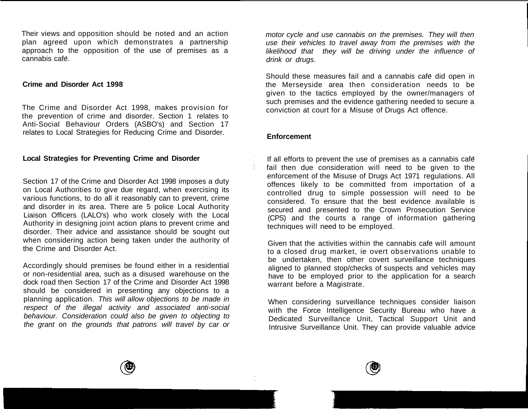Their views and opposition should be noted and an action plan agreed upon which demonstrates a partnership approach to the opposition of the use of premises as a cannabis cafe.

#### **Crime and Disorder Act 1998**

The Crime and Disorder Act 1998, makes provision for the prevention of crime and disorder. Section 1 relates to Anti-Social Behaviour Orders (ASBO's) and Section 17 relates to Local Strategies for Reducing Crime and Disorder.

## **Local Strategies for Preventing Crime and Disorder**

Section 17 of the Crime and Disorder Act 1998 imposes a duty on Local Authorities to give due regard, when exercising its various functions, to do all it reasonably can to prevent, crime and disorder in its area. There are 5 police Local Authority Liaison Officers (LALO's) who work closely with the Local Authority in designing joint action plans to prevent crime and disorder. Their advice and assistance should be sought out when considering action being taken under the authority of the Crime and Disorder Act.

Accordingly should premises be found either in a residential or non-residential area, such as a disused warehouse on the dock road then Section 17 of the Crime and Disorder Act 1998 should be considered in presenting any objections to a planning application. This will allow objections to be made in respect of the illegal activity and associated anti-social behaviour. Consideration could also be given to objecting to the grant on the grounds that patrons will travel by car or

motor cycle and use cannabis on the premises. They will then use their vehicles to travel away from the premises with the likelihood that they will be driving under the influence of drink or drugs.

Should these measures fail and a cannabis cafe did open in the Merseyside area then consideration needs to be given to the tactics employed by the owner/managers of such premises and the evidence gathering needed to secure a conviction at court for a Misuse of Drugs Act offence.

#### **Enforcement**

If all efforts to prevent the use of premises as a cannabis cafe fail then due consideration will need to be given to the enforcement of the Misuse of Drugs Act 1971 regulations. All offences likely to be committed from importation of a controlled drug to simple possession will need to be considered. To ensure that the best evidence available is secured and presented to the Crown Prosecution Service (CPS) and the courts a range of information gathering techniques will need to be employed.

Given that the activities within the cannabis cafe will amount to a closed drug market, ie overt observations unable to be undertaken, then other covert surveillance techniques aligned to planned stop/checks of suspects and vehicles may have to be employed prior to the application for a search warrant before a Magistrate.

When considering surveillance techniques consider liaison with the Force Intelligence Security Bureau who have a Dedicated Surveillance Unit, Tactical Support Unit and Intrusive Surveillance Unit. They can provide valuable advice



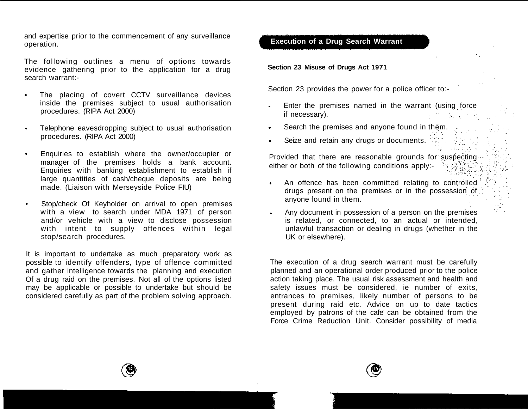and expertise prior to the commencement of any surveillance operation.

The following outlines a menu of options towards evidence gathering prior to the application for a drug search warrant:-

- The placing of covert CCTV surveillance devices  $\bullet$ inside the premises subject to usual authorisation procedures. (RIPA Act 2000)
- Telephone eavesdropping subject to usual authorisation  $\bullet$ procedures. (RIPA Act 2000)
- Enquiries to establish where the owner/occupier or  $\bullet$ manager of the premises holds a bank account. Enquiries with banking establishment to establish if large quantities of cash/cheque deposits are being made. (Liaison with Merseyside Police FIU)
- Stop/check Of Keyholder on arrival to open premises with a view to search under MDA 1971 of person and/or vehicle with a view to disclose possession with intent to supply offences within legal stop/search procedures.

It is important to undertake as much preparatory work as possible to identify offenders, type of offence committed and gather intelligence towards the planning and execution Of a drug raid on the premises. Not all of the options listed may be applicable or possible to undertake but should be considered carefully as part of the problem solving approach.

# **Execution of a Drug Search Warrant**

**Section 23 Misuse of Drugs Act 1971**

Section 23 provides the power for a police officer to:-

- Enter the premises named in the warrant (using force if necessary).
- Search the premises and anyone found in them.
- Seize and retain any drugs or documents.

Provided that there are reasonable grounds for suspecting either or both of the following conditions apply:-

- An offence has been committed relating to controlled  $\bullet$ drugs present on the premises or in the possession of anyone found in them.
- Any document in possession of a person on the premises is related, or connected, to an actual or intended, unlawful transaction or dealing in drugs (whether in the UK or elsewhere).

The execution of a drug search warrant must be carefully planned and an operational order produced prior to the police action taking place. The usual risk assessment and health and safety issues must be considered, ie number of exits, entrances to premises, likely number of persons to be present during raid etc. Advice on up to date tactics employed by patrons of the cafe can be obtained from the Force Crime Reduction Unit. Consider possibility of media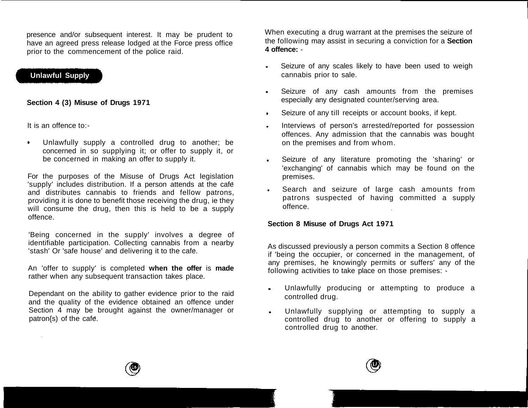presence and/or subsequent interest. It may be prudent to have an agreed press release lodged at the Force press office prior to the commencement of the police raid.

# **Unlawful Supply**

## **Section 4 (3) Misuse of Drugs 1971**

It is an offence to:-

Unlawfully supply a controlled drug to another; be concerned in so supplying it; or offer to supply it, or be concerned in making an offer to supply it.

For the purposes of the Misuse of Drugs Act legislation 'supply' includes distribution. If a person attends at the cafe and distributes cannabis to friends and fellow patrons, providing it is done to benefit those receiving the drug, ie they will consume the drug, then this is held to be a supply offence.

'Being concerned in the supply' involves a degree of identifiable participation. Collecting cannabis from a nearby 'stash' Or 'safe house' and delivering it to the cafe.

An 'offer to supply' is completed **when the offer** is **made** rather when any subsequent transaction takes place.

Dependant on the ability to gather evidence prior to the raid and the quality of the evidence obtained an offence under Section 4 may be brought against the owner/manager or patron{s) of the cafe.

When executing a drug warrant at the premises the seizure of the following may assist in securing a conviction for a **Section 4 offence:** -

- Seizure of any scales likely to have been used to weigh cannabis prior to sale.
- Seizure of any cash amounts from the premises  $\bullet$  . especially any designated counter/serving area.
- Seizure of any till receipts or account books, if kept.
- Interviews of person's arrested/reported for possession offences. Any admission that the cannabis was bought on the premises and from whom.
- Seizure of any literature promoting the 'sharing' or  $\bullet$  .  $\bullet$ 'exchanging' of cannabis which may be found on the premises.
- Search and seizure of large cash amounts from patrons suspected of having committed a supply offence.

## **Section 8 Misuse of Drugs Act 1971**

As discussed previously a person commits a Section 8 offence if 'being the occupier, or concerned in the management, of any premises, he knowingly permits or suffers' any of the following activities to take place on those premises: -

- Unlawfully producing or attempting to produce a controlled drug.
- Unlawfully supplying or attempting to supply a controlled drug to another or offering to supply a controlled drug to another.



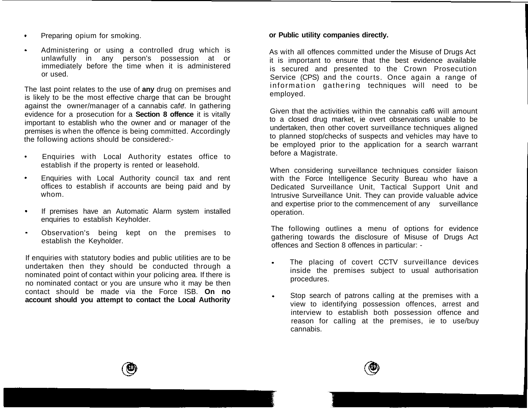- Preparing opium for smoking.  $\bullet$
- Administering or using a controlled drug which is  $\bullet$ unlawfully in any person's possession at or immediately before the time when it is administered or used.

The last point relates to the use of **any** drug on premises and is likely to be the most effective charge that can be brought against the owner/manager of a cannabis cafe. In gathering evidence for a prosecution for a **Section 8 offence** it is vitally important to establish who the owner and or manager of the premises is when the offence is being committed. Accordingly the following actions should be considered:-

- Enquiries with Local Authority estates office to establish if the property is rented or leasehold.
- Enquiries with Local Authority council tax and rent  $\bullet$ offices to establish if accounts are being paid and by whom.
- If premises have an Automatic Alarm system installed  $\bullet$ enquiries to establish Keyholder.
- $\ddot{\phantom{0}}$ Observation's being kept on the premises to establish the Keyholder.

If enquiries with statutory bodies and public utilities are to be undertaken then they should be conducted through a nominated point of contact within your policing area. If there is no nominated contact or you are unsure who it may be then contact should be made via the Force ISB. **On no account should you attempt to contact the Local Authority**

#### **or Public utility companies directly.**

As with all offences committed under the Misuse of Drugs Act it is important to ensure that the best evidence available is secured and presented to the Crown Prosecution Service (CPS) and the courts. Once again a range of information gathering techniques will need to be employed.

Given that the activities within the cannabis caf6 will amount to a closed drug market, ie overt observations unable to be undertaken, then other covert surveillance techniques aligned to planned stop/checks of suspects and vehicles may have to be employed prior to the application for a search warrant before a Magistrate.

When considering surveillance techniques consider liaison with the Force Intelligence Security Bureau who have a Dedicated Surveillance Unit, Tactical Support Unit and Intrusive Surveillance Unit. They can provide valuable advice and expertise prior to the commencement of any surveillance operation.

The following outlines a menu of options for evidence gathering towards the disclosure of Misuse of Drugs Act offences and Section 8 offences in particular: -

- The placing of covert CCTV surveillance devices inside the premises subject to usual authorisation procedures.
- Stop search of patrons calling at the premises with a view to identifying possession offences, arrest and interview to establish both possession offence and reason for calling at the premises, ie to use/buy cannabis.

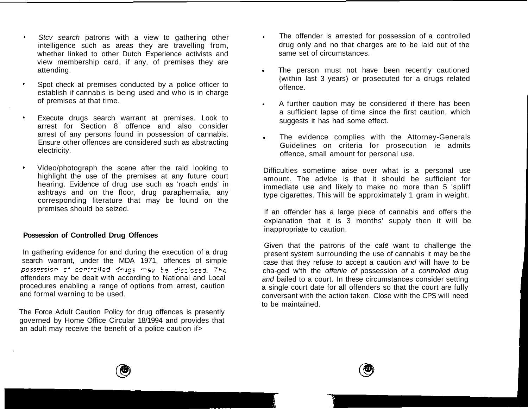- Stcv search patrons with a view to gathering other  $\bullet$ intelligence such as areas they are travelling from, whether linked to other Dutch Experience activists and view membership card, if any, of premises they are attending.
- Spot check at premises conducted by a police officer to establish if cannabis is being used and who is in charge of premises at that time.
- $\bullet$ Execute drugs search warrant at premises. Look to arrest for Section 8 offence and also consider arrest of any persons found in possession of cannabis. Ensure other offences are considered such as abstracting electricity.
- Video/photograph the scene after the raid looking to  $\bullet$ highlight the use of the premises at any future court hearing. Evidence of drug use such as 'roach ends' in ashtrays and on the floor, drug paraphernalia, any corresponding literature that may be found on the premises should be seized.

## **Possession of Controlled Drug Offences**

In gathering evidence for and during the execution of a drug search warrant, under the MDA 1971, offences of simple possession of controlled drugs may be disclosed. The offenders may be dealt with according to National and Local procedures enabling a range of options from arrest, caution and formal warning to be used.

The Force Adult Caution Policy for drug offences is presently governed by Home Office Circular 18/1994 and provides that an adult may receive the benefit of a police caution if >

- The offender is arrested for possession of a controlled  $\bullet$ drug only and no that charges are to be laid out of the same set of circumstances.
- a. The person must not have been recently cautioned {within last 3 years) or prosecuted for a drugs related offence.
- A further caution may be considered if there has been  $\bullet$ a sufficient lapse of time since the first caution, which suggests it has had some effect.
- The evidence complies with the Attorney-Generals Guidelines on criteria for prosecution ie admits offence, small amount for personal use.

Difficulties sometime arise over what is a personal use amount. The advice is that it should be sufficient for immediate use and likely to make no more than 5 'spliff type cigarettes. This will be approximately 1 gram in weight.

If an offender has a large piece of cannabis and offers the explanation that it is 3 months' supply then it will be inappropriate to caution.

Given that the patrons of the café want to challenge the present system surrounding the use of cannabis it may be the case that they refuse to accept a caution and will have to be cha-ged w'th the offenie of possession of a controlled drug and bailed to a court. In these circumstances consider setting a single court date for all offenders so that the court are fully conversant with the action taken. Close with the CPS will need to be maintained.



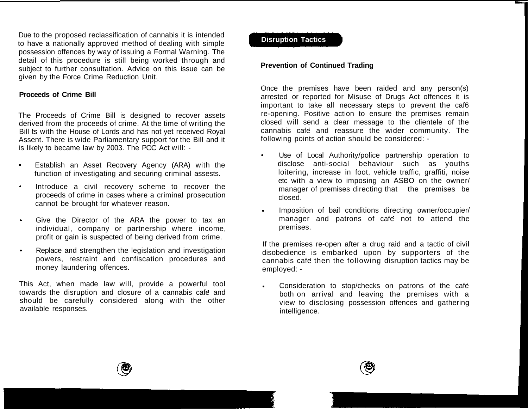Due to the proposed reclassification of cannabis it is intended to have a nationally approved method of dealing with simple possession offences by way of issuing a Formal Warning. The detail of this procedure is still being worked through and subject to further consultation. Advice on this issue can be given by the Force Crime Reduction Unit.

## **Proceeds of Crime Bill**

The Proceeds of Crime Bill is designed to recover assets derived from the proceeds of crime. At the time of writing the Bill ts with the House of Lords and has not yet received Royal Assent. There is wide Parliamentary support for the Bill and it is likely to became law by 2003. The POC Act will: -

- Establish an Asset Recovery Agency (ARA) with the function of investigating and securing criminal assests.
- Introduce a civil recovery scheme to recover the proceeds of crime in cases where a criminal prosecution cannot be brought for whatever reason.
- Give the Director of the ARA the power to tax an individual, company or partnership where income, profit or gain is suspected of being derived from crime.
- Replace and strengthen the legislation and investigation powers, restraint and confiscation procedures and money laundering offences.

This Act, when made law will, provide a powerful tool towards the disruption and closure of a cannabis cafe and should be carefully considered along with the other available responses.

## **Disruption Tactics**

## **Prevention of Continued Trading**

Once the premises have been raided and any person(s) arrested or reported for Misuse of Drugs Act offences it is important to take all necessary steps to prevent the caf6 re-opening. Positive action to ensure the premises remain closed will send a clear message to the clientele of the cannabis cafe and reassure the wider community. The following points of action should be considered: -

- Use of Local Authority/police partnership operation to disclose anti-social behaviour such as youths loitering, increase in foot, vehicle traffic, graffiti, noise etc with a view to imposing an ASBO on the owner/ manager of premises directing that the premises be closed.
- Imposition of bail conditions directing owner/occupier/  $\bullet$ manager and patrons of cafe not to attend the premises.

If the premises re-open after a drug raid and a tactic of civil disobedience is embarked upon by supporters of the cannabis cafe then the following disruption tactics may be employed: -

Consideration to stop/checks on patrons of the cafe  $\bullet$ both on arrival and leaving the premises with a view to disclosing possession offences and gathering intelligence.



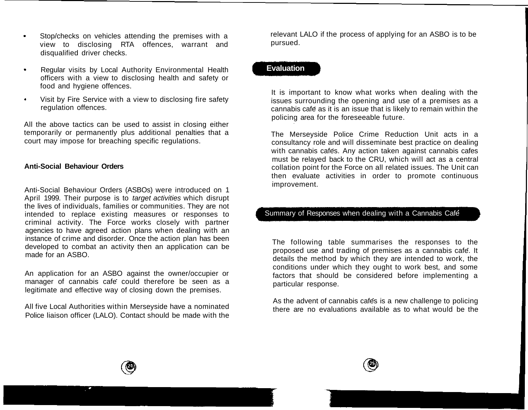- Stop/checks on vehicles attending the premises with a  $\bullet$ view to disclosing RTA offences, warrant and disqualified driver checks.
- $\bullet$ Regular visits by Local Authority Environmental Health officers with a view to disclosing health and safety or food and hygiene offences.
- $\bullet$ Visit by Fire Service with a view to disclosing fire safety regulation offences.

All the above tactics can be used to assist in closing either temporarily or permanently plus additional penalties that a court may impose for breaching specific regulations.

## **Anti-Social Behaviour Orders**

Anti-Social Behaviour Orders (ASBOs) were introduced on 1 April 1999. Their purpose is to target activities which disrupt the lives of individuals, families or communities. They are not intended to replace existing measures or responses to criminal activity. The Force works closely with partner agencies to have agreed action plans when dealing with an instance of crime and disorder. Once the action plan has been developed to combat an activity then an application can be made for an ASBO.

An application for an ASBO against the owner/occupier or manager of cannabis cafe could therefore be seen as a legitimate and effective way of closing down the premises.

All five Local Authorities within Merseyside have a nominated Police liaison officer (LALO). Contact should be made with the

relevant LALO if the process of applying for an ASBO is to be pursued.

# **Evaluation**

It is important to know what works when dealing with the issues surrounding the opening and use of a premises as a cannabis cafe as it is an issue that is likely to remain within the policing area for the foreseeable future.

The Merseyside Police Crime Reduction Unit acts in a consultancy role and will disseminate best practice on dealing with cannabis cafes. Any action taken against cannabis cafes must be relayed back to the CRU, which will act as a central collation point for the Force on all related issues. The Unit can then evaluate activities in order to promote continuous improvement.

# Summary of Responses when dealing with a Cannabis Café

The following table summarises the responses to the proposed use and trading of premises as a cannabis cafe. It details the method by which they are intended to work, the conditions under which they ought to work best, and some factors that should be considered before implementing a particular response.

As the advent of cannabis cafes is a new challenge to policing there are no evaluations available as to what would be the



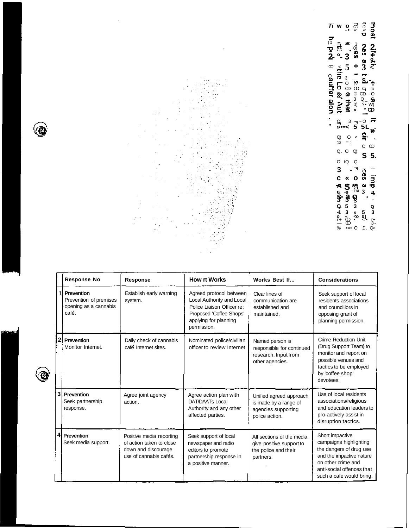

G

G

**Ti w o** (0  $\bullet$   $\circ$   $\circ$ CD -  $\equiv$  3 **2- °- 3** CD < ្រុក ្រុ<br>**ភូ**ក ្តុក្ក្ **" 2 2 o 5 \* 3 < ິລັດ ຊຶ່ງ ຕົກສາຕາ ແລະ**<br>ອິດສາຍ ອິດຕະການ<br>ຈຶ່ງ ⊘ັດອິນ<br>ອິດຕະການ<br>ອິນ  $9 - 3 - 0$ **22**  $\frac{3}{2}$   $\frac{3}{2}$  5 5 L<sub>12</sub>. Q) O < 13 = : Q. O Q) O tQ Q-**3 - ' c « o ^ S \*° s- a o** C CD **S 5. o, -o ™ 3 o 3 3 §<sup>a</sup> - Q. 5 3 Q, -1 3** » **5** 3<br> **o** « ∞ 0)<br>
<del>*r*+</del> <del>CD</del> • c+<br>
% •=• O £ . Q>

l,

|                | <b>Response No</b>                                                       | Response                                                                                              | <b>How it Works</b>                                                                                                                                   | Works Best If                                                                              | <b>Considerations</b>                                                                                                                                                           |
|----------------|--------------------------------------------------------------------------|-------------------------------------------------------------------------------------------------------|-------------------------------------------------------------------------------------------------------------------------------------------------------|--------------------------------------------------------------------------------------------|---------------------------------------------------------------------------------------------------------------------------------------------------------------------------------|
|                | 1 Prevention<br>Prevention of premises<br>opening as a cannabis<br>café. | Establish early warning<br>system.                                                                    | Agreed protocol between<br>Local Authority and Local<br>Police Liaison Officer re:<br>Proposed 'Coffee Shops'<br>applying for planning<br>permission. | Clear lines of<br>communication are<br>established and<br>maintained.                      | Seek support of local<br>residents associations<br>and councillors in<br>opposing grant of<br>planning permission.                                                              |
| 2              | Prevention<br>Monitor Internet.                                          | Daily check of cannabis<br>café Internet sites.                                                       | Nominated police/civilian<br>officer to review Internet                                                                                               | Named person is<br>responsible for continued<br>research. Input from<br>other agencies.    | Crime Reduction Unit<br>(Drug Support Team) to<br>monitor and report on<br>possible venues and<br>tactics to be employed<br>by 'coffee shop'<br>devotees.                       |
| 3 <sup>l</sup> | Prevention<br>Seek partnership<br>response.                              | Agree joint agency<br>action.                                                                         | Agree action plan with<br><b>DAT/DAATs Local</b><br>Authority and any other<br>affected parties.                                                      | Unified agreed approach<br>is made by a range of<br>agencies supporting<br>police action.  | Use of local residents<br>associations/religious<br>and education leaders to<br>pro-actively assist in<br>disruption tactics.                                                   |
| 4              | Prevention<br>Seek media support.                                        | Positive media reporting<br>of action taken to close<br>down and discourage<br>use of cannabis cafes. | Seek support of local<br>newspaper and radio<br>editors to promote<br>partnership response in<br>a positive manner.                                   | All sections of the media<br>give positive support to<br>the police and their<br>partners. | Short impactive<br>campaigns highlighting<br>the dangers of drug use<br>and the impactive nature<br>on other crime and<br>anti-social offences that<br>such a cafe would bring. |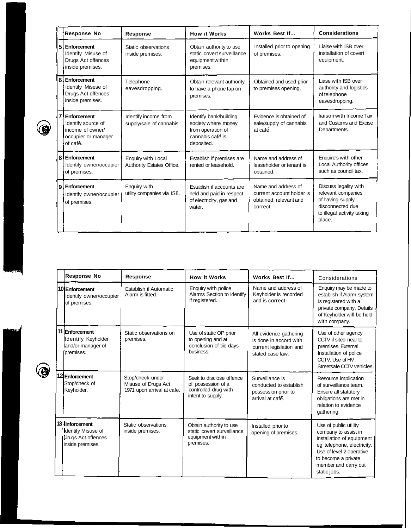|    | <b>Response No</b>                                                                       | Response                                               | <b>How it Works</b>                                                                                  | Works Best If                                                                         | <b>Considerations</b>                                                                                                       |
|----|------------------------------------------------------------------------------------------|--------------------------------------------------------|------------------------------------------------------------------------------------------------------|---------------------------------------------------------------------------------------|-----------------------------------------------------------------------------------------------------------------------------|
| 51 | Enforcement<br>Identify Misuse of<br>Drugs Act offences<br>inside premises.              | Static observations<br>inside premises.                | Obtain authority to use<br>static covert surveillance<br>equipment within<br>premises.               | Installed prior to opening<br>of premises.                                            | Liaise with ISB over<br>installation of covert<br>equipment.                                                                |
| 6  | Enforcement<br>Identify Misese of<br>Drugs Act offences<br>inside premises.              | Telephone<br>eavesdropping.                            | Obtain relevant authority<br>to have a phone tap on<br>premises.                                     | Obtained and used prior<br>to premises opening.                                       | Liase with ISB over<br>authority and logistics<br>of telephone<br>eavesdropping.                                            |
|    | Enforcement<br>Identify source of<br>income of owner/<br>occupier or manager<br>of café. | Identify income from<br>supply/sale of cannabis.       | Identify bank/building<br>society where money<br>from operation of<br>cannabis café is<br>deposited. | Evidence is obtained of<br>sale/supply of cannabis<br>at cafe.                        | liaison with Income Tax<br>and Customs and Excise<br>Departments.                                                           |
| 8  | Enforcement<br>Identify owner/occupier<br>of premises.                                   | <b>Enquiry with Local</b><br>Authority Estates Office. | Establish if premises are<br>rented or leasehold.                                                    | Name and address of<br>leaseholder or tenant is<br>obtained.                          | Enquire's with other<br>Local Authority offices<br>such as council tax.                                                     |
|    | 9 Enforcement<br>Identify owner/occupier<br>of premises.                                 | Enquiry with<br>utility companies via IS8.             | Establish if accounts are<br>held and paid in respect<br>of electricity, gas and<br>water.           | Name and address of<br>current account holder is<br>obtained, relevant and<br>correct | Discuss legality with<br>relevant companies<br>of having supply<br>disconnected due<br>to illegal activity taking<br>place. |

 $\circledcirc$ 

 $\circledcirc$ 

| <b>Response No</b>                                                                             | <b>Response</b>                                                       | <b>How it Works</b>                                                                         | Works Best If                                                                                   | Considerations                                                                                                                                                                                      |
|------------------------------------------------------------------------------------------------|-----------------------------------------------------------------------|---------------------------------------------------------------------------------------------|-------------------------------------------------------------------------------------------------|-----------------------------------------------------------------------------------------------------------------------------------------------------------------------------------------------------|
| 10 Enforcement<br>Identify owner/occupier<br>of premises.                                      | <b>Establish if Automatic</b><br>Alarm is fitted.                     | Enquiry with police<br>Alarms Section to identify<br>if registered.                         | Name and address of<br>Keyholder is recorded<br>and is correct                                  | Enquiry may be made to<br>establish if Alarm system<br>is registered with a<br>private company. Details<br>of Keyholder will be held<br>with company.                                               |
| 11 Enforcement<br>Identify Keyholder<br>and/or manager of<br>premises.                         | Static observations on<br>premises.                                   | Use of static OP prior<br>to opening and at<br>conclusion of tile days<br>business.         | All evidence gathering<br>is done in accord with<br>current legislation and<br>stated case law. | Use of other agency<br>CCTV if sited near to<br>premises. External<br>Installation of police<br>CCTV. Use of HV<br>Streetsafe CCTV vehicles.                                                        |
| 12 Enforcement<br>Stop/check of<br>Keyholder.                                                  | Stop/check under<br>Misuse of Drugs Act<br>1971 upon arrival at cafe. | Seek to disclose offence<br>of possession of a<br>controlled drug with<br>intent to supply. | Surveillance is<br>conducted to establish<br>possession prior to<br>arrival at cafe.            | Resource implication<br>of surveillance team.<br>Ensure all statutory<br>obligations are met in<br>relation to evidence<br>gathering.                                                               |
| 13 Inforcement<br><b>I</b> dentify Misuse of<br><b>IJrugs Act offences</b><br>inside premises. | Static observations<br>inside premises.                               | Obtain authority to use<br>static covert surveillance<br>equipment within<br>premises.      | Installed prior to<br>opening of premises.                                                      | Use of public utility<br>company to assist in<br>installation of equipment<br>eg telephone, electricity.<br>Use of level 2 operative<br>to become a private<br>member and carry out<br>static jobs. |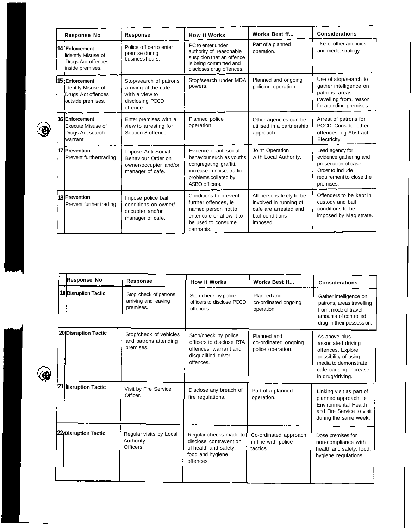| Response No                                                                               | <b>Response</b>                                                                                 | <b>How it Works</b>                                                                                                                                    | Works Best ff                                                                                              | <b>Considerations</b>                                                                                                          |
|-------------------------------------------------------------------------------------------|-------------------------------------------------------------------------------------------------|--------------------------------------------------------------------------------------------------------------------------------------------------------|------------------------------------------------------------------------------------------------------------|--------------------------------------------------------------------------------------------------------------------------------|
| 14 Enforcement<br>Identify Misuse of<br>Drugs Act offences<br>inside premises.            | Police officerto enter<br>premise during<br>business hours.                                     | PC to enter under<br>authority of reasonable<br>suspicion that an offence<br>is being committed and<br>discloses drug offences.                        | Part of a planned<br>operation.                                                                            | Use of other agencies<br>and media strategy.                                                                                   |
| <b>115 : Enforcement</b><br>Identify Misuse of<br>Drugs Act offences<br>outside premises. | Stop/search of patrons<br>arriving at the cafe<br>with a view to<br>disclosing POCD<br>offence. | Stop/search under MDA<br>powers.                                                                                                                       | Planned and ongoing<br>policing operation.                                                                 | Use of stop/search to<br>gather intelligence on<br>patrons, areas<br>travelling from, reason<br>for attending premises.        |
| 161Enforcement<br>Execute Misuse of<br>Drugs Act search<br>Iwarrant                       | Enter premises with a<br>view to arresting for<br>Section 8 offence.                            | Planned police<br>operation.                                                                                                                           | Other agencies can be<br>utilised in a partnership<br>approach.                                            | Arrest of patrons for<br>POCD. Consider other<br>offences, eg Abstract<br>Electricity.                                         |
| 17 Prevention<br>Prevent furthertrading.                                                  | Impose Anti-Social<br>Behaviour Order on<br>owner/occupier and/or<br>manager of cafe.           | Evidence of anti-social<br>behaviour such as youths<br>congregating, graffiti,<br>increase in noise, traffic<br>problems collated by<br>ASBO officers. | Joint Operation<br>with Local Authority.                                                                   | Lead agency for<br>evidence gathering and<br>prosecution of case.<br>Order to include<br>requirement to close the<br>premises. |
| 18 Prevention<br>Prevent further trading.                                                 | Impose police bail<br>conditions on owner/<br>occupier and/or<br>manager of café.               | Conditions to prevent<br>further offences, ie<br>named person not to<br>enter café or allow it to<br>be used to consume<br>cannabis.                   | All persons likely to be<br>involved in running of<br>cafe are arrested and<br>bail conditions<br>imposed. | Offenders to be kept in<br>custody and bail<br>conditions to be<br>imposed by Magistrate.                                      |

 $\frac{1}{2}$ 

| Response No           | <b>Response</b>                                              | <b>How it Works</b>                                                                                           | Works Best If                                            | <b>Considerations</b>                                                                                                                                 |
|-----------------------|--------------------------------------------------------------|---------------------------------------------------------------------------------------------------------------|----------------------------------------------------------|-------------------------------------------------------------------------------------------------------------------------------------------------------|
| 19 Disruption Tactic  | Stop check of patrons<br>arriving and leaving<br>premises.   | Stop check by police<br>officers to disclose POCD<br>offences.                                                | Planned and<br>co-ordinated ongoing<br>operation.        | Gather intelligence on<br>patrons, areas travelling<br>from, mode of travel,<br>amounts of controlled<br>drug in their possession.                    |
| 20 Disruption Tactic  | Stop/check of vehicles<br>and patrons attending<br>premises. | Stop/check by police<br>officers to disclose RTA<br>offences, warrant and<br>disqualified driver<br>offences. | Planned and<br>co-ordinated ongoing<br>police operation. | As above plus<br>associated driving<br>offences. Explore<br>possibility of using<br>media to demonstrate<br>café causing increase<br>in drug/driving. |
| 21 Ilisruption Tactic | Visit by Fire Service<br>Officer.                            | Disclose any breach of<br>fire regulations.                                                                   | Part of a planned<br>operation.                          | Linking visit as part of<br>planned approach, ie<br>Environmental Health<br>and Fire Service to visit<br>during the same week.                        |
| 22 Disruption Tactic  | Regular visits by Local<br>Authority<br>Officers.            | Regular checks made to<br>disclose contravention<br>of health and safety,<br>food and hygiene<br>offences.    | Co-ordinated approach<br>in line with police<br>tactics. | Dose premises for<br>non-compliance with<br>health and safety, food,<br>hygiene regulations.                                                          |

 $\circledcirc$ 

 $\circledcirc$